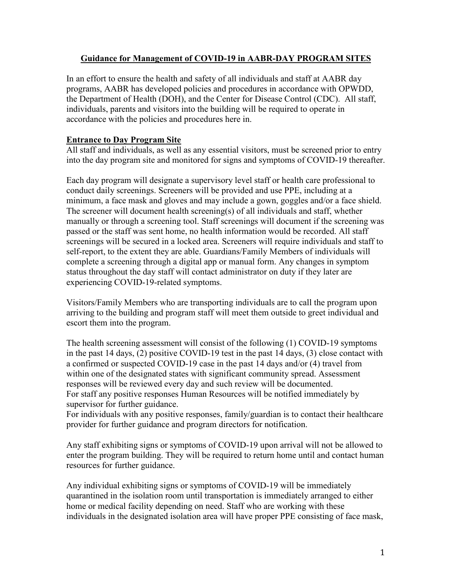### **Guidance for Management of COVID-19 in AABR-DAY PROGRAM SITES**

In an effort to ensure the health and safety of all individuals and staff at AABR day programs, AABR has developed policies and procedures in accordance with OPWDD, the Department of Health (DOH), and the Center for Disease Control (CDC). All staff, individuals, parents and visitors into the building will be required to operate in accordance with the policies and procedures here in.

#### **Entrance to Day Program Site**

All staff and individuals, as well as any essential visitors, must be screened prior to entry into the day program site and monitored for signs and symptoms of COVID-19 thereafter.

Each day program will designate a supervisory level staff or health care professional to conduct daily screenings. Screeners will be provided and use PPE, including at a minimum, a face mask and gloves and may include a gown, goggles and/or a face shield. The screener will document health screening(s) of all individuals and staff, whether manually or through a screening tool. Staff screenings will document if the screening was passed or the staff was sent home, no health information would be recorded. All staff screenings will be secured in a locked area. Screeners will require individuals and staff to self-report, to the extent they are able. Guardians/Family Members of individuals will complete a screening through a digital app or manual form. Any changes in symptom status throughout the day staff will contact administrator on duty if they later are experiencing COVID-19-related symptoms.

Visitors/Family Members who are transporting individuals are to call the program upon arriving to the building and program staff will meet them outside to greet individual and escort them into the program.

The health screening assessment will consist of the following (1) COVID-19 symptoms in the past 14 days, (2) positive COVID-19 test in the past 14 days, (3) close contact with a confirmed or suspected COVID-19 case in the past 14 days and/or (4) travel from within one of the designated states with significant community spread. Assessment responses will be reviewed every day and such review will be documented. For staff any positive responses Human Resources will be notified immediately by supervisor for further guidance.

For individuals with any positive responses, family/guardian is to contact their healthcare provider for further guidance and program directors for notification.

Any staff exhibiting signs or symptoms of COVID-19 upon arrival will not be allowed to enter the program building. They will be required to return home until and contact human resources for further guidance.

Any individual exhibiting signs or symptoms of COVID-19 will be immediately quarantined in the isolation room until transportation is immediately arranged to either home or medical facility depending on need. Staff who are working with these individuals in the designated isolation area will have proper PPE consisting of face mask,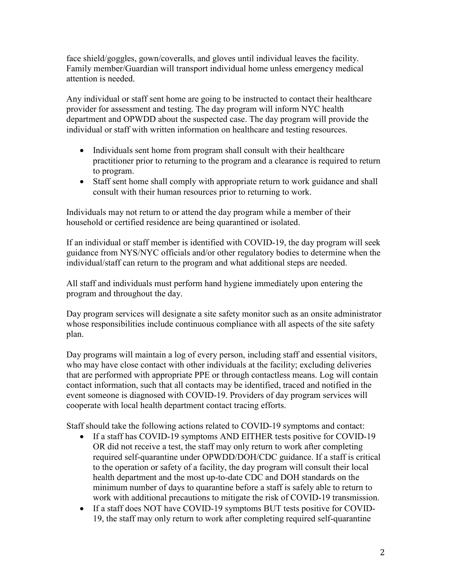face shield/goggles, gown/coveralls, and gloves until individual leaves the facility. Family member/Guardian will transport individual home unless emergency medical attention is needed.

Any individual or staff sent home are going to be instructed to contact their healthcare provider for assessment and testing. The day program will inform NYC health department and OPWDD about the suspected case. The day program will provide the individual or staff with written information on healthcare and testing resources.

- Individuals sent home from program shall consult with their healthcare practitioner prior to returning to the program and a clearance is required to return to program.
- Staff sent home shall comply with appropriate return to work guidance and shall consult with their human resources prior to returning to work.

Individuals may not return to or attend the day program while a member of their household or certified residence are being quarantined or isolated.

If an individual or staff member is identified with COVID-19, the day program will seek guidance from NYS/NYC officials and/or other regulatory bodies to determine when the individual/staff can return to the program and what additional steps are needed.

All staff and individuals must perform hand hygiene immediately upon entering the program and throughout the day.

Day program services will designate a site safety monitor such as an onsite administrator whose responsibilities include continuous compliance with all aspects of the site safety plan.

Day programs will maintain a log of every person, including staff and essential visitors, who may have close contact with other individuals at the facility; excluding deliveries that are performed with appropriate PPE or through contactless means. Log will contain contact information, such that all contacts may be identified, traced and notified in the event someone is diagnosed with COVID-19. Providers of day program services will cooperate with local health department contact tracing efforts.

Staff should take the following actions related to COVID-19 symptoms and contact:

- If a staff has COVID-19 symptoms AND EITHER tests positive for COVID-19 OR did not receive a test, the staff may only return to work after completing required self-quarantine under OPWDD/DOH/CDC guidance. If a staff is critical to the operation or safety of a facility, the day program will consult their local health department and the most up-to-date CDC and DOH standards on the minimum number of days to quarantine before a staff is safely able to return to work with additional precautions to mitigate the risk of COVID-19 transmission.
- If a staff does NOT have COVID-19 symptoms BUT tests positive for COVID-19, the staff may only return to work after completing required self-quarantine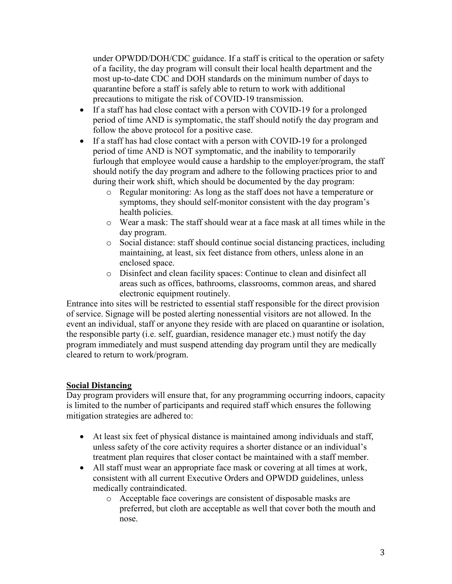under OPWDD/DOH/CDC guidance. If a staff is critical to the operation or safety of a facility, the day program will consult their local health department and the most up-to-date CDC and DOH standards on the minimum number of days to quarantine before a staff is safely able to return to work with additional precautions to mitigate the risk of COVID-19 transmission.

- If a staff has had close contact with a person with COVID-19 for a prolonged period of time AND is symptomatic, the staff should notify the day program and follow the above protocol for a positive case.
- If a staff has had close contact with a person with COVID-19 for a prolonged period of time AND is NOT symptomatic, and the inability to temporarily furlough that employee would cause a hardship to the employer/program, the staff should notify the day program and adhere to the following practices prior to and during their work shift, which should be documented by the day program:
	- o Regular monitoring: As long as the staff does not have a temperature or symptoms, they should self-monitor consistent with the day program's health policies.
	- o Wear a mask: The staff should wear at a face mask at all times while in the day program.
	- o Social distance: staff should continue social distancing practices, including maintaining, at least, six feet distance from others, unless alone in an enclosed space.
	- o Disinfect and clean facility spaces: Continue to clean and disinfect all areas such as offices, bathrooms, classrooms, common areas, and shared electronic equipment routinely.

Entrance into sites will be restricted to essential staff responsible for the direct provision of service. Signage will be posted alerting nonessential visitors are not allowed. In the event an individual, staff or anyone they reside with are placed on quarantine or isolation, the responsible party (i.e. self, guardian, residence manager etc.) must notify the day program immediately and must suspend attending day program until they are medically cleared to return to work/program.

## **Social Distancing**

Day program providers will ensure that, for any programming occurring indoors, capacity is limited to the number of participants and required staff which ensures the following mitigation strategies are adhered to:

- At least six feet of physical distance is maintained among individuals and staff, unless safety of the core activity requires a shorter distance or an individual's treatment plan requires that closer contact be maintained with a staff member.
- All staff must wear an appropriate face mask or covering at all times at work, consistent with all current Executive Orders and OPWDD guidelines, unless medically contraindicated.
	- o Acceptable face coverings are consistent of disposable masks are preferred, but cloth are acceptable as well that cover both the mouth and nose.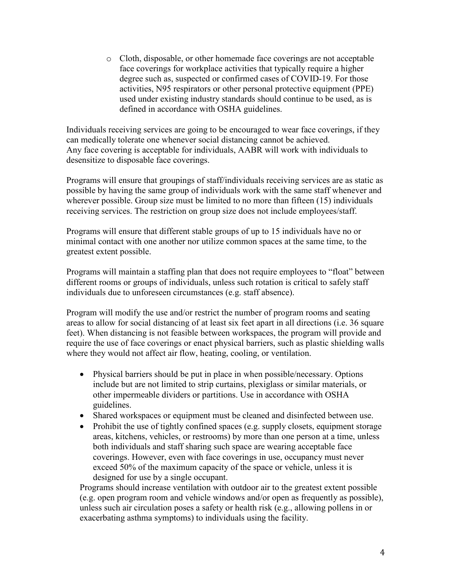o Cloth, disposable, or other homemade face coverings are not acceptable face coverings for workplace activities that typically require a higher degree such as, suspected or confirmed cases of COVID-19. For those activities, N95 respirators or other personal protective equipment (PPE) used under existing industry standards should continue to be used, as is defined in accordance with OSHA guidelines.

Individuals receiving services are going to be encouraged to wear face coverings, if they can medically tolerate one whenever social distancing cannot be achieved. Any face covering is acceptable for individuals, AABR will work with individuals to desensitize to disposable face coverings.

Programs will ensure that groupings of staff/individuals receiving services are as static as possible by having the same group of individuals work with the same staff whenever and wherever possible. Group size must be limited to no more than fifteen (15) individuals receiving services. The restriction on group size does not include employees/staff.

Programs will ensure that different stable groups of up to 15 individuals have no or minimal contact with one another nor utilize common spaces at the same time, to the greatest extent possible.

Programs will maintain a staffing plan that does not require employees to "float" between different rooms or groups of individuals, unless such rotation is critical to safely staff individuals due to unforeseen circumstances (e.g. staff absence).

Program will modify the use and/or restrict the number of program rooms and seating areas to allow for social distancing of at least six feet apart in all directions (i.e. 36 square feet). When distancing is not feasible between workspaces, the program will provide and require the use of face coverings or enact physical barriers, such as plastic shielding walls where they would not affect air flow, heating, cooling, or ventilation.

- Physical barriers should be put in place in when possible/necessary. Options include but are not limited to strip curtains, plexiglass or similar materials, or other impermeable dividers or partitions. Use in accordance with OSHA guidelines.
- Shared workspaces or equipment must be cleaned and disinfected between use.
- Prohibit the use of tightly confined spaces (e.g. supply closets, equipment storage areas, kitchens, vehicles, or restrooms) by more than one person at a time, unless both individuals and staff sharing such space are wearing acceptable face coverings. However, even with face coverings in use, occupancy must never exceed 50% of the maximum capacity of the space or vehicle, unless it is designed for use by a single occupant.

Programs should increase ventilation with outdoor air to the greatest extent possible (e.g. open program room and vehicle windows and/or open as frequently as possible), unless such air circulation poses a safety or health risk (e.g., allowing pollens in or exacerbating asthma symptoms) to individuals using the facility.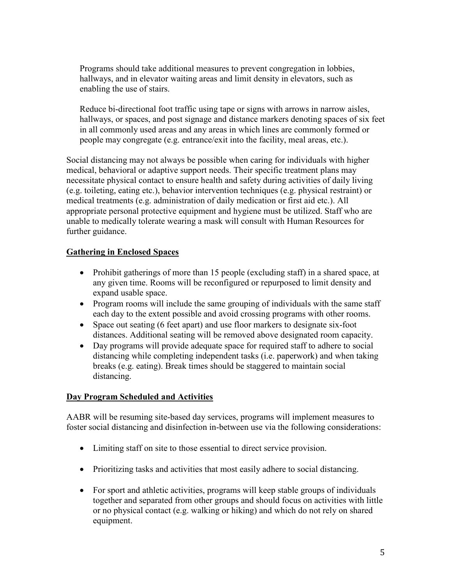Programs should take additional measures to prevent congregation in lobbies, hallways, and in elevator waiting areas and limit density in elevators, such as enabling the use of stairs.

Reduce bi-directional foot traffic using tape or signs with arrows in narrow aisles, hallways, or spaces, and post signage and distance markers denoting spaces of six feet in all commonly used areas and any areas in which lines are commonly formed or people may congregate (e.g. entrance/exit into the facility, meal areas, etc.).

Social distancing may not always be possible when caring for individuals with higher medical, behavioral or adaptive support needs. Their specific treatment plans may necessitate physical contact to ensure health and safety during activities of daily living (e.g. toileting, eating etc.), behavior intervention techniques (e.g. physical restraint) or medical treatments (e.g. administration of daily medication or first aid etc.). All appropriate personal protective equipment and hygiene must be utilized. Staff who are unable to medically tolerate wearing a mask will consult with Human Resources for further guidance.

## **Gathering in Enclosed Spaces**

- Prohibit gatherings of more than 15 people (excluding staff) in a shared space, at any given time. Rooms will be reconfigured or repurposed to limit density and expand usable space.
- Program rooms will include the same grouping of individuals with the same staff each day to the extent possible and avoid crossing programs with other rooms.
- Space out seating (6 feet apart) and use floor markers to designate six-foot distances. Additional seating will be removed above designated room capacity.
- Day programs will provide adequate space for required staff to adhere to social distancing while completing independent tasks (i.e. paperwork) and when taking breaks (e.g. eating). Break times should be staggered to maintain social distancing.

### **Day Program Scheduled and Activities**

AABR will be resuming site-based day services, programs will implement measures to foster social distancing and disinfection in-between use via the following considerations:

- Limiting staff on site to those essential to direct service provision.
- Prioritizing tasks and activities that most easily adhere to social distancing.
- For sport and athletic activities, programs will keep stable groups of individuals together and separated from other groups and should focus on activities with little or no physical contact (e.g. walking or hiking) and which do not rely on shared equipment.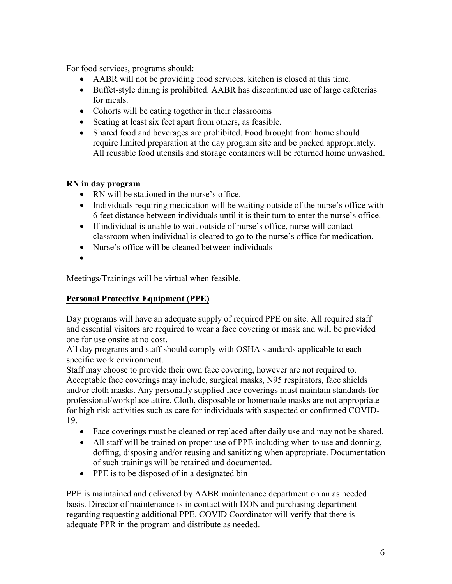For food services, programs should:

- AABR will not be providing food services, kitchen is closed at this time.
- Buffet-style dining is prohibited. AABR has discontinued use of large cafeterias for meals.
- Cohorts will be eating together in their classrooms
- Seating at least six feet apart from others, as feasible.
- Shared food and beverages are prohibited. Food brought from home should require limited preparation at the day program site and be packed appropriately. All reusable food utensils and storage containers will be returned home unwashed.

### **RN in day program**

- RN will be stationed in the nurse's office.
- Individuals requiring medication will be waiting outside of the nurse's office with 6 feet distance between individuals until it is their turn to enter the nurse's office.
- If individual is unable to wait outside of nurse's office, nurse will contact classroom when individual is cleared to go to the nurse's office for medication.
- Nurse's office will be cleaned between individuals
- •

Meetings/Trainings will be virtual when feasible.

## **Personal Protective Equipment (PPE)**

Day programs will have an adequate supply of required PPE on site. All required staff and essential visitors are required to wear a face covering or mask and will be provided one for use onsite at no cost.

All day programs and staff should comply with OSHA standards applicable to each specific work environment.

Staff may choose to provide their own face covering, however are not required to. Acceptable face coverings may include, surgical masks, N95 respirators, face shields and/or cloth masks. Any personally supplied face coverings must maintain standards for professional/workplace attire. Cloth, disposable or homemade masks are not appropriate for high risk activities such as care for individuals with suspected or confirmed COVID-19.

- Face coverings must be cleaned or replaced after daily use and may not be shared.
- All staff will be trained on proper use of PPE including when to use and donning, doffing, disposing and/or reusing and sanitizing when appropriate. Documentation of such trainings will be retained and documented.
- PPE is to be disposed of in a designated bin

PPE is maintained and delivered by AABR maintenance department on an as needed basis. Director of maintenance is in contact with DON and purchasing department regarding requesting additional PPE. COVID Coordinator will verify that there is adequate PPR in the program and distribute as needed.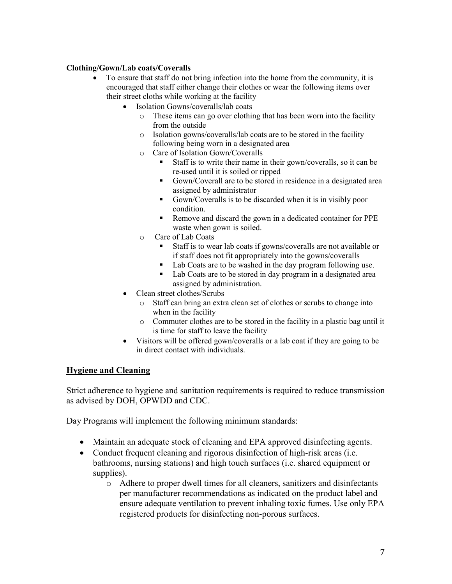#### **Clothing/Gown/Lab coats/Coveralls**

- To ensure that staff do not bring infection into the home from the community, it is encouraged that staff either change their clothes or wear the following items over their street cloths while working at the facility
	- Isolation Gowns/coveralls/lab coats
		- o These items can go over clothing that has been worn into the facility from the outside
		- o Isolation gowns/coveralls/lab coats are to be stored in the facility following being worn in a designated area
		- o Care of Isolation Gown/Coveralls
			- Staff is to write their name in their gown/coveralls, so it can be re-used until it is soiled or ripped
			- Gown/Coverall are to be stored in residence in a designated area assigned by administrator
			- Gown/Coveralls is to be discarded when it is in visibly poor condition.
			- Remove and discard the gown in a dedicated container for PPE waste when gown is soiled.
		- o Care of Lab Coats
			- Staff is to wear lab coats if gowns/coveralls are not available or if staff does not fit appropriately into the gowns/coveralls
			- Lab Coats are to be washed in the day program following use.
			- Lab Coats are to be stored in day program in a designated area assigned by administration.
	- Clean street clothes/Scrubs
		- o Staff can bring an extra clean set of clothes or scrubs to change into when in the facility
		- o Commuter clothes are to be stored in the facility in a plastic bag until it is time for staff to leave the facility
	- Visitors will be offered gown/coveralls or a lab coat if they are going to be in direct contact with individuals.

#### **Hygiene and Cleaning**

Strict adherence to hygiene and sanitation requirements is required to reduce transmission as advised by DOH, OPWDD and CDC.

Day Programs will implement the following minimum standards:

- Maintain an adequate stock of cleaning and EPA approved disinfecting agents.
- Conduct frequent cleaning and rigorous disinfection of high-risk areas (i.e. bathrooms, nursing stations) and high touch surfaces (i.e. shared equipment or supplies).
	- o Adhere to proper dwell times for all cleaners, sanitizers and disinfectants per manufacturer recommendations as indicated on the product label and ensure adequate ventilation to prevent inhaling toxic fumes. Use only EPA registered products for disinfecting non-porous surfaces.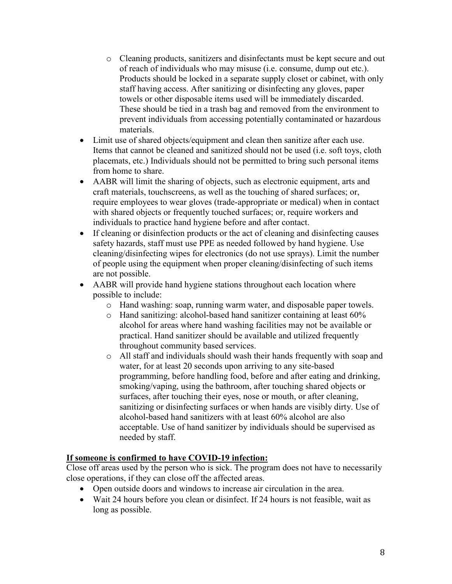- o Cleaning products, sanitizers and disinfectants must be kept secure and out of reach of individuals who may misuse (i.e. consume, dump out etc.). Products should be locked in a separate supply closet or cabinet, with only staff having access. After sanitizing or disinfecting any gloves, paper towels or other disposable items used will be immediately discarded. These should be tied in a trash bag and removed from the environment to prevent individuals from accessing potentially contaminated or hazardous materials.
- Limit use of shared objects/equipment and clean then sanitize after each use. Items that cannot be cleaned and sanitized should not be used (i.e. soft toys, cloth placemats, etc.) Individuals should not be permitted to bring such personal items from home to share.
- AABR will limit the sharing of objects, such as electronic equipment, arts and craft materials, touchscreens, as well as the touching of shared surfaces; or, require employees to wear gloves (trade-appropriate or medical) when in contact with shared objects or frequently touched surfaces; or, require workers and individuals to practice hand hygiene before and after contact.
- If cleaning or disinfection products or the act of cleaning and disinfecting causes safety hazards, staff must use PPE as needed followed by hand hygiene. Use cleaning/disinfecting wipes for electronics (do not use sprays). Limit the number of people using the equipment when proper cleaning/disinfecting of such items are not possible.
- AABR will provide hand hygiene stations throughout each location where possible to include:
	- o Hand washing: soap, running warm water, and disposable paper towels.
	- o Hand sanitizing: alcohol-based hand sanitizer containing at least 60% alcohol for areas where hand washing facilities may not be available or practical. Hand sanitizer should be available and utilized frequently throughout community based services.
	- o All staff and individuals should wash their hands frequently with soap and water, for at least 20 seconds upon arriving to any site-based programming, before handling food, before and after eating and drinking, smoking/vaping, using the bathroom, after touching shared objects or surfaces, after touching their eyes, nose or mouth, or after cleaning, sanitizing or disinfecting surfaces or when hands are visibly dirty. Use of alcohol-based hand sanitizers with at least 60% alcohol are also acceptable. Use of hand sanitizer by individuals should be supervised as needed by staff.

### **If someone is confirmed to have COVID-19 infection:**

Close off areas used by the person who is sick. The program does not have to necessarily close operations, if they can close off the affected areas.

- Open outside doors and windows to increase air circulation in the area.
- Wait 24 hours before you clean or disinfect. If 24 hours is not feasible, wait as long as possible.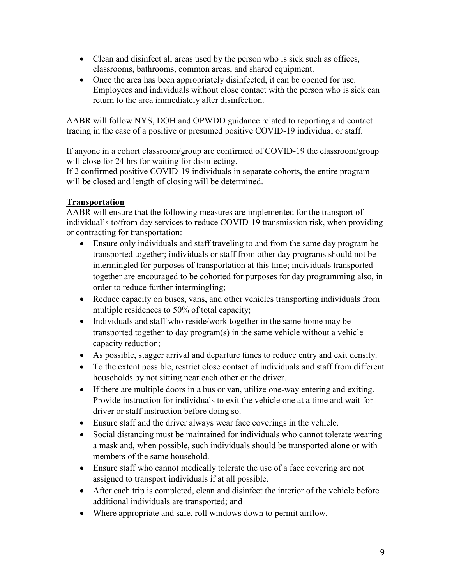- Clean and disinfect all areas used by the person who is sick such as offices, classrooms, bathrooms, common areas, and shared equipment.
- Once the area has been appropriately disinfected, it can be opened for use. Employees and individuals without close contact with the person who is sick can return to the area immediately after disinfection.

AABR will follow NYS, DOH and OPWDD guidance related to reporting and contact tracing in the case of a positive or presumed positive COVID-19 individual or staff.

If anyone in a cohort classroom/group are confirmed of COVID-19 the classroom/group will close for 24 hrs for waiting for disinfecting.

If 2 confirmed positive COVID-19 individuals in separate cohorts, the entire program will be closed and length of closing will be determined.

## **Transportation**

AABR will ensure that the following measures are implemented for the transport of individual's to/from day services to reduce COVID-19 transmission risk, when providing or contracting for transportation:

- Ensure only individuals and staff traveling to and from the same day program be transported together; individuals or staff from other day programs should not be intermingled for purposes of transportation at this time; individuals transported together are encouraged to be cohorted for purposes for day programming also, in order to reduce further intermingling;
- Reduce capacity on buses, vans, and other vehicles transporting individuals from multiple residences to 50% of total capacity;
- Individuals and staff who reside/work together in the same home may be transported together to day program(s) in the same vehicle without a vehicle capacity reduction;
- As possible, stagger arrival and departure times to reduce entry and exit density.
- To the extent possible, restrict close contact of individuals and staff from different households by not sitting near each other or the driver.
- If there are multiple doors in a bus or van, utilize one-way entering and exiting. Provide instruction for individuals to exit the vehicle one at a time and wait for driver or staff instruction before doing so.
- Ensure staff and the driver always wear face coverings in the vehicle.
- Social distancing must be maintained for individuals who cannot tolerate wearing a mask and, when possible, such individuals should be transported alone or with members of the same household.
- Ensure staff who cannot medically tolerate the use of a face covering are not assigned to transport individuals if at all possible.
- After each trip is completed, clean and disinfect the interior of the vehicle before additional individuals are transported; and
- Where appropriate and safe, roll windows down to permit airflow.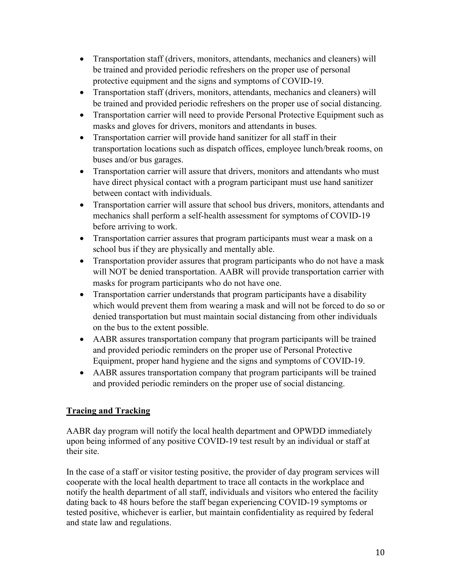- Transportation staff (drivers, monitors, attendants, mechanics and cleaners) will be trained and provided periodic refreshers on the proper use of personal protective equipment and the signs and symptoms of COVID-19.
- Transportation staff (drivers, monitors, attendants, mechanics and cleaners) will be trained and provided periodic refreshers on the proper use of social distancing.
- Transportation carrier will need to provide Personal Protective Equipment such as masks and gloves for drivers, monitors and attendants in buses.
- Transportation carrier will provide hand sanitizer for all staff in their transportation locations such as dispatch offices, employee lunch/break rooms, on buses and/or bus garages.
- Transportation carrier will assure that drivers, monitors and attendants who must have direct physical contact with a program participant must use hand sanitizer between contact with individuals.
- Transportation carrier will assure that school bus drivers, monitors, attendants and mechanics shall perform a self-health assessment for symptoms of COVID-19 before arriving to work.
- Transportation carrier assures that program participants must wear a mask on a school bus if they are physically and mentally able.
- Transportation provider assures that program participants who do not have a mask will NOT be denied transportation. AABR will provide transportation carrier with masks for program participants who do not have one.
- Transportation carrier understands that program participants have a disability which would prevent them from wearing a mask and will not be forced to do so or denied transportation but must maintain social distancing from other individuals on the bus to the extent possible.
- AABR assures transportation company that program participants will be trained and provided periodic reminders on the proper use of Personal Protective Equipment, proper hand hygiene and the signs and symptoms of COVID-19.
- AABR assures transportation company that program participants will be trained and provided periodic reminders on the proper use of social distancing.

# **Tracing and Tracking**

AABR day program will notify the local health department and OPWDD immediately upon being informed of any positive COVID-19 test result by an individual or staff at their site.

In the case of a staff or visitor testing positive, the provider of day program services will cooperate with the local health department to trace all contacts in the workplace and notify the health department of all staff, individuals and visitors who entered the facility dating back to 48 hours before the staff began experiencing COVID-19 symptoms or tested positive, whichever is earlier, but maintain confidentiality as required by federal and state law and regulations.